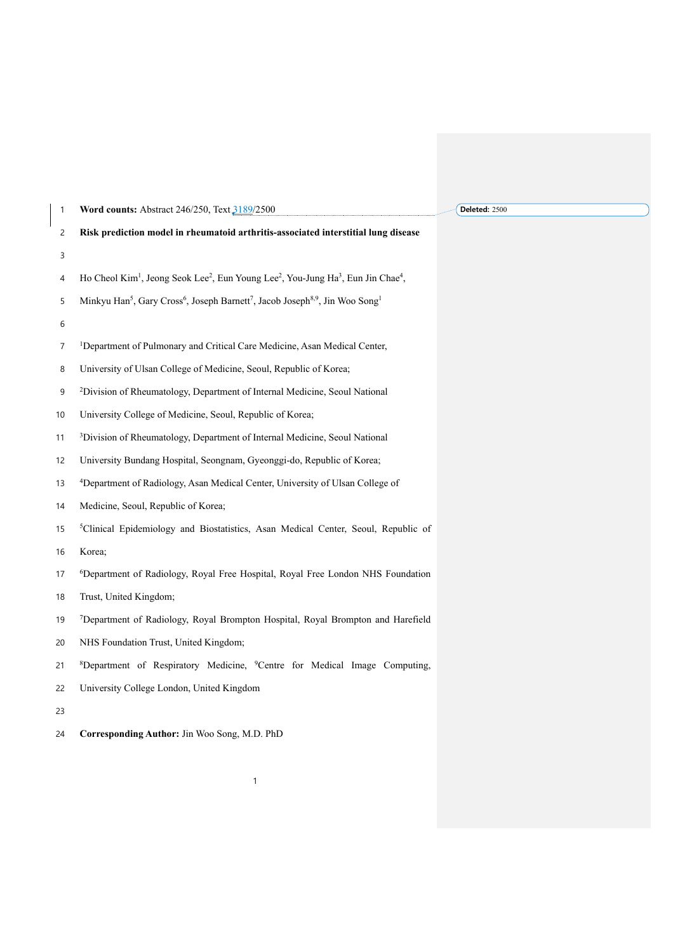| 1  | Word counts: Abstract 246/250, Text 3189/2500                                                                                                 | Deleted: 2500 |
|----|-----------------------------------------------------------------------------------------------------------------------------------------------|---------------|
| 2  | Risk prediction model in rheumatoid arthritis-associated interstitial lung disease                                                            |               |
| 3  |                                                                                                                                               |               |
| 4  | Ho Cheol Kim <sup>1</sup> , Jeong Seok Lee <sup>2</sup> , Eun Young Lee <sup>2</sup> , You-Jung Ha <sup>3</sup> , Eun Jin Chae <sup>4</sup> , |               |
| 5  | Minkyu Han <sup>5</sup> , Gary Cross <sup>6</sup> , Joseph Barnett <sup>7</sup> , Jacob Joseph <sup>8,9</sup> , Jin Woo Song <sup>1</sup>     |               |
| 6  |                                                                                                                                               |               |
| 7  | <sup>1</sup> Department of Pulmonary and Critical Care Medicine, Asan Medical Center,                                                         |               |
| 8  | University of Ulsan College of Medicine, Seoul, Republic of Korea;                                                                            |               |
| 9  | <sup>2</sup> Division of Rheumatology, Department of Internal Medicine, Seoul National                                                        |               |
| 10 | University College of Medicine, Seoul, Republic of Korea;                                                                                     |               |
| 11 | <sup>3</sup> Division of Rheumatology, Department of Internal Medicine, Seoul National                                                        |               |
| 12 | University Bundang Hospital, Seongnam, Gyeonggi-do, Republic of Korea;                                                                        |               |
| 13 | <sup>4</sup> Department of Radiology, Asan Medical Center, University of Ulsan College of                                                     |               |
| 14 | Medicine, Seoul, Republic of Korea;                                                                                                           |               |
| 15 | <sup>5</sup> Clinical Epidemiology and Biostatistics, Asan Medical Center, Seoul, Republic of                                                 |               |
| 16 | Korea;                                                                                                                                        |               |
| 17 | <sup>6</sup> Department of Radiology, Royal Free Hospital, Royal Free London NHS Foundation                                                   |               |
| 18 | Trust, United Kingdom;                                                                                                                        |               |
| 19 | <sup>7</sup> Department of Radiology, Royal Brompton Hospital, Royal Brompton and Harefield                                                   |               |
| 20 | NHS Foundation Trust, United Kingdom;                                                                                                         |               |
| 21 | <sup>8</sup> Department of Respiratory Medicine, <sup>9</sup> Centre for Medical Image Computing,                                             |               |
| 22 | University College London, United Kingdom                                                                                                     |               |
| 23 |                                                                                                                                               |               |
| 24 | Corresponding Author: Jin Woo Song, M.D. PhD                                                                                                  |               |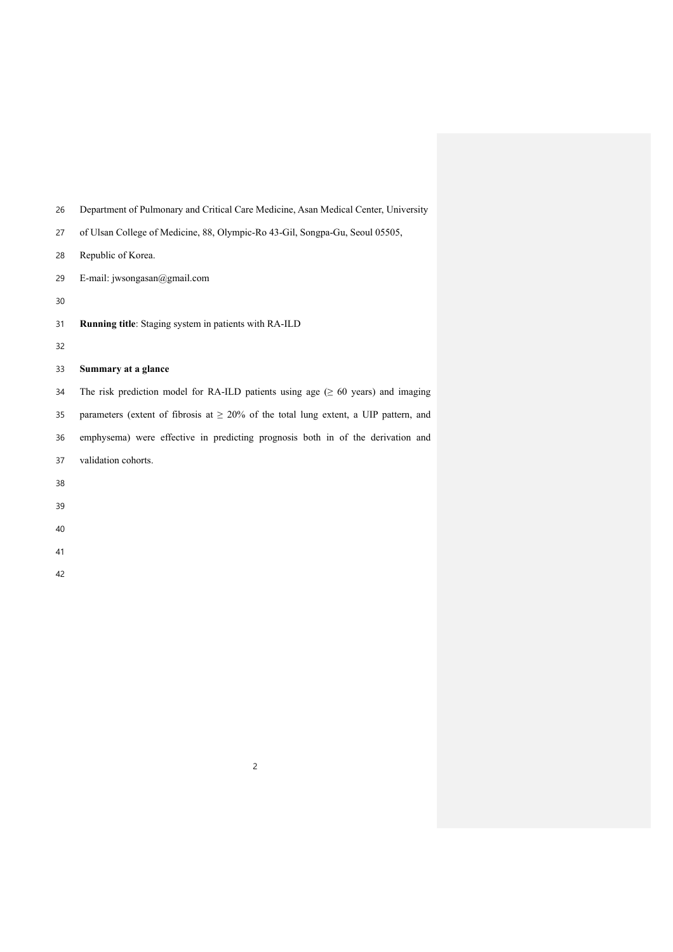- Department of Pulmonary and Critical Care Medicine, Asan Medical Center, University
- of Ulsan College of Medicine, 88, Olympic-Ro 43-Gil, Songpa-Gu, Seoul 05505,
- Republic of Korea.
- E-mail: jwsongasan@gmail.com
- 
- **Running title**: Staging system in patients with RA-ILD
- 

## **Summary at a glance**

34 The risk prediction model for RA-ILD patients using age  $(≥ 60 years)$  and imaging 35 parameters (extent of fibrosis at  $\geq$  20% of the total lung extent, a UIP pattern, and emphysema) were effective in predicting prognosis both in of the derivation and validation cohorts.

###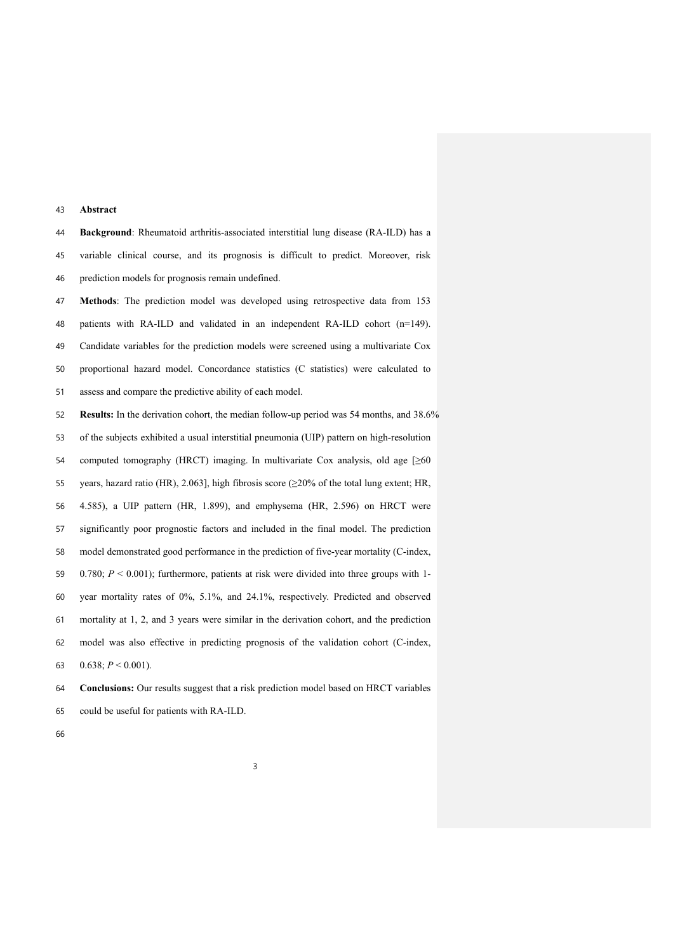#### **Abstract**

 **Background**: Rheumatoid arthritis-associated interstitial lung disease (RA-ILD) has a variable clinical course, and its prognosis is difficult to predict. Moreover, risk prediction models for prognosis remain undefined.

 **Methods**: The prediction model was developed using retrospective data from 153 patients with RA-ILD and validated in an independent RA-ILD cohort (n=149). Candidate variables for the prediction models were screened using a multivariate Cox proportional hazard model. Concordance statistics (C statistics) were calculated to assess and compare the predictive ability of each model.

 **Results:** In the derivation cohort, the median follow-up period was 54 months, and 38.6% of the subjects exhibited a usual interstitial pneumonia (UIP) pattern on high-resolution computed tomography (HRCT) imaging. In multivariate Cox analysis, old age [≥60 years, hazard ratio (HR), 2.063], high fibrosis score (≥20% of the total lung extent; HR, 4.585), a UIP pattern (HR, 1.899), and emphysema (HR, 2.596) on HRCT were significantly poor prognostic factors and included in the final model. The prediction model demonstrated good performance in the prediction of five-year mortality (C-index, 0.780; *P* < 0.001); furthermore, patients at risk were divided into three groups with 1- year mortality rates of 0%, 5.1%, and 24.1%, respectively. Predicted and observed mortality at 1, 2, and 3 years were similar in the derivation cohort, and the prediction model was also effective in predicting prognosis of the validation cohort (C-index, 0.638; *P* < 0.001).

 **Conclusions:** Our results suggest that a risk prediction model based on HRCT variables could be useful for patients with RA-ILD.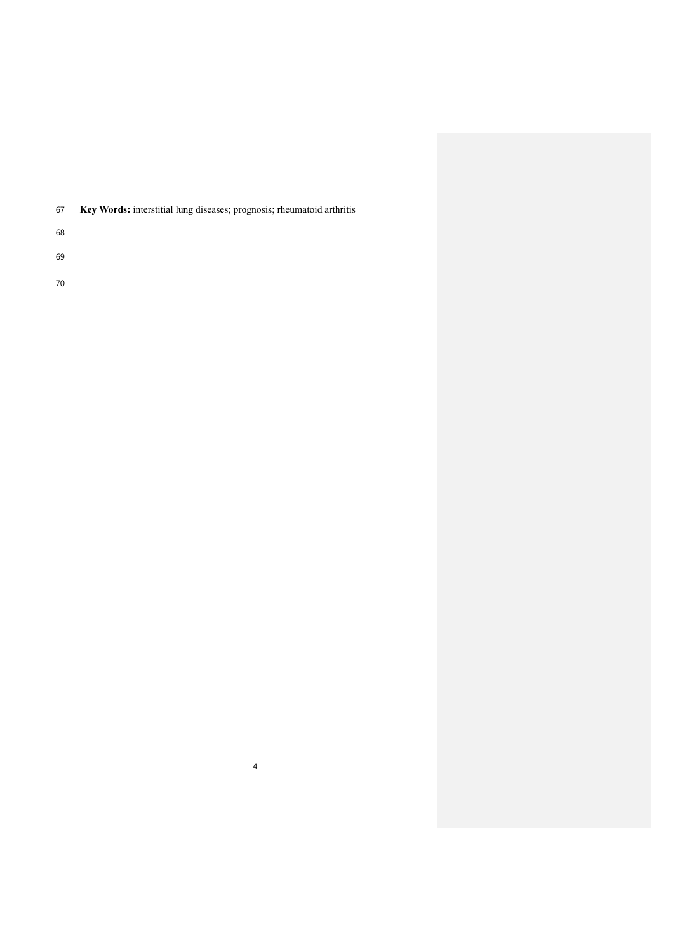| 67 | <b>Key Words:</b> interstitial lung diseases; prognosis; rheumatoid arthritis |  |  |
|----|-------------------------------------------------------------------------------|--|--|
|    |                                                                               |  |  |

- 
- 
-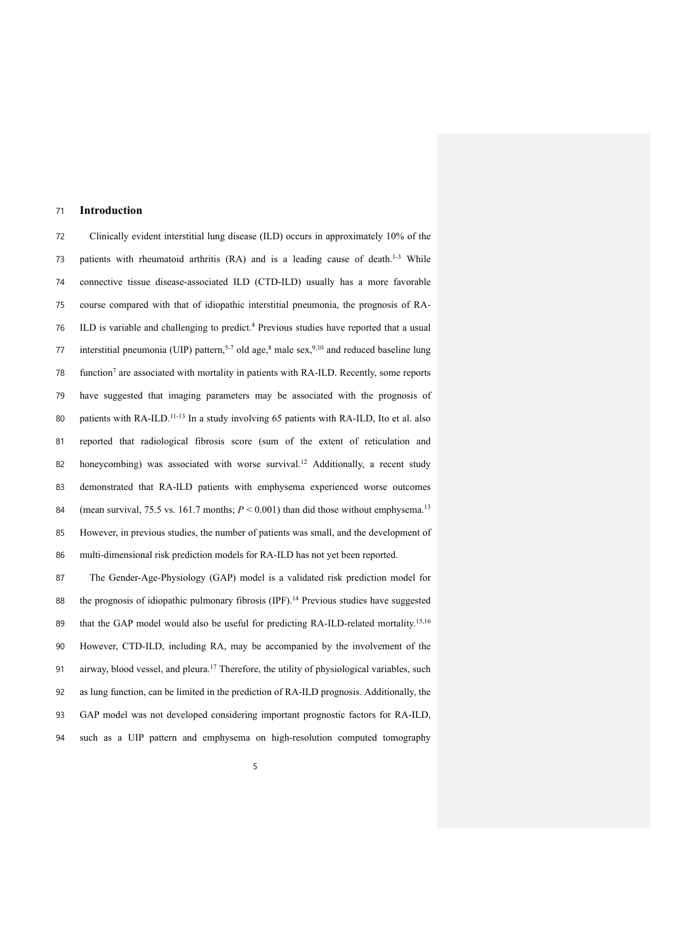### 71 **Introduction**

72 Clinically evident interstitial lung disease (ILD) occurs in approximately 10% of the 73 patients with rheumatoid arthritis (RA) and is a leading cause of death.<sup>1-3</sup> While 74 connective tissue disease-associated ILD (CTD-ILD) usually has a more favorable 75 course compared with that of idiopathic interstitial pneumonia, the prognosis of RA-76 ILD is variable and challenging to predict.<sup>4</sup> Previous studies have reported that a usual 77 interstitial pneumonia (UIP) pattern,<sup>5-7</sup> old age,<sup>8</sup> male sex,<sup>9,10</sup> and reduced baseline lung 78 function<sup>7</sup> are associated with mortality in patients with RA-ILD. Recently, some reports 79 have suggested that imaging parameters may be associated with the prognosis of 80 patients with RA-ILD.<sup>11-13</sup> In a study involving 65 patients with RA-ILD, Ito et al. also 81 reported that radiological fibrosis score (sum of the extent of reticulation and 82 honeycombing) was associated with worse survival.<sup>12</sup> Additionally, a recent study 83 demonstrated that RA-ILD patients with emphysema experienced worse outcomes 84 (mean survival, 75.5 vs. 161.7 months;  $P \le 0.001$ ) than did those without emphysema.<sup>13</sup> 85 However, in previous studies, the number of patients was small, and the development of 86 multi-dimensional risk prediction models for RA-ILD has not yet been reported.

 The Gender-Age-Physiology (GAP) model is a validated risk prediction model for 88 the prognosis of idiopathic pulmonary fibrosis  $(IPF)$ .<sup>14</sup> Previous studies have suggested 89 that the GAP model would also be useful for predicting RA-ILD-related mortality.<sup>15,16</sup> However, CTD-ILD, including RA, may be accompanied by the involvement of the 91 airway, blood vessel, and pleura.<sup>17</sup> Therefore, the utility of physiological variables, such as lung function, can be limited in the prediction of RA-ILD prognosis. Additionally, the GAP model was not developed considering important prognostic factors for RA-ILD, such as a UIP pattern and emphysema on high-resolution computed tomography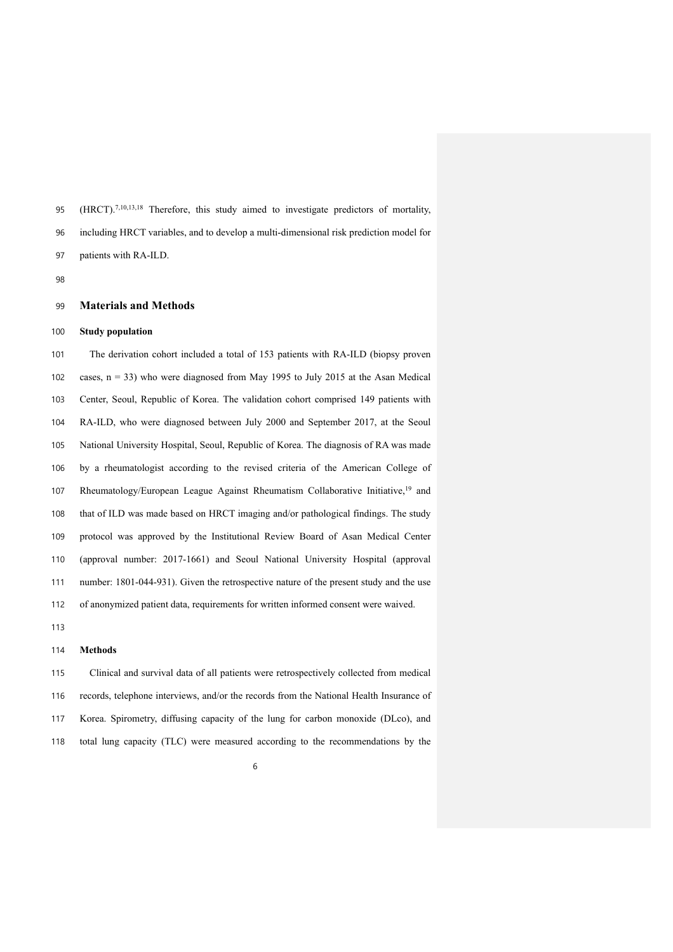95 (HRCT).<sup>7,10,13,18</sup> Therefore, this study aimed to investigate predictors of mortality, including HRCT variables, and to develop a multi-dimensional risk prediction model for patients with RA-ILD.

## **Materials and Methods**

#### **Study population**

 The derivation cohort included a total of 153 patients with RA-ILD (biopsy proven cases, n = 33) who were diagnosed from May 1995 to July 2015 at the Asan Medical Center, Seoul, Republic of Korea. The validation cohort comprised 149 patients with RA-ILD, who were diagnosed between July 2000 and September 2017, at the Seoul National University Hospital, Seoul, Republic of Korea. The diagnosis of RA was made by a rheumatologist according to the revised criteria of the American College of 107 Rheumatology/European League Against Rheumatism Collaborative Initiative,<sup>19</sup> and that of ILD was made based on HRCT imaging and/or pathological findings. The study protocol was approved by the Institutional Review Board of Asan Medical Center (approval number: 2017-1661) and Seoul National University Hospital (approval number: 1801-044-931). Given the retrospective nature of the present study and the use of anonymized patient data, requirements for written informed consent were waived.

#### **Methods**

 Clinical and survival data of all patients were retrospectively collected from medical records, telephone interviews, and/or the records from the National Health Insurance of Korea. Spirometry, diffusing capacity of the lung for carbon monoxide (DLco), and total lung capacity (TLC) were measured according to the recommendations by the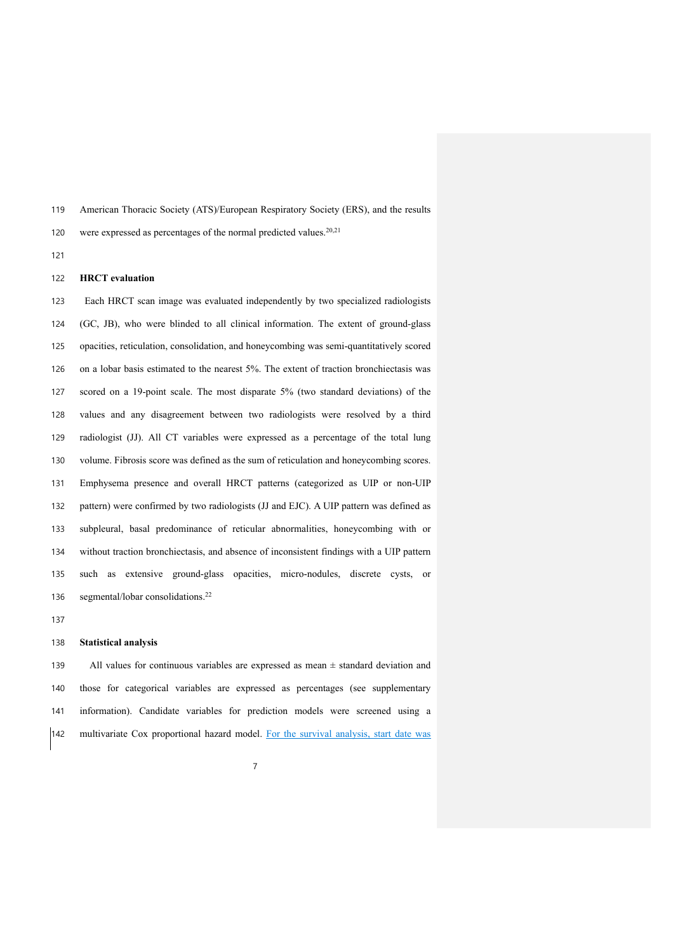American Thoracic Society (ATS)/European Respiratory Society (ERS), and the results

120 were expressed as percentages of the normal predicted values. $20,21$ 

#### **HRCT evaluation**

 Each HRCT scan image was evaluated independently by two specialized radiologists (GC, JB), who were blinded to all clinical information. The extent of ground-glass opacities, reticulation, consolidation, and honeycombing was semi-quantitatively scored on a lobar basis estimated to the nearest 5%. The extent of traction bronchiectasis was scored on a 19-point scale. The most disparate 5% (two standard deviations) of the values and any disagreement between two radiologists were resolved by a third radiologist (JJ). All CT variables were expressed as a percentage of the total lung volume. Fibrosis score was defined as the sum of reticulation and honeycombing scores. Emphysema presence and overall HRCT patterns (categorized as UIP or non-UIP pattern) were confirmed by two radiologists (JJ and EJC). A UIP pattern was defined as subpleural, basal predominance of reticular abnormalities, honeycombing with or without traction bronchiectasis, and absence of inconsistent findings with a UIP pattern such as extensive ground-glass opacities, micro-nodules, discrete cysts, or 136 segmental/lobar consolidations.<sup>22</sup>

#### **Statistical analysis**

139 All values for continuous variables are expressed as mean  $\pm$  standard deviation and those for categorical variables are expressed as percentages (see supplementary information). Candidate variables for prediction models were screened using a multivariate Cox proportional hazard model. For the survival analysis, start date was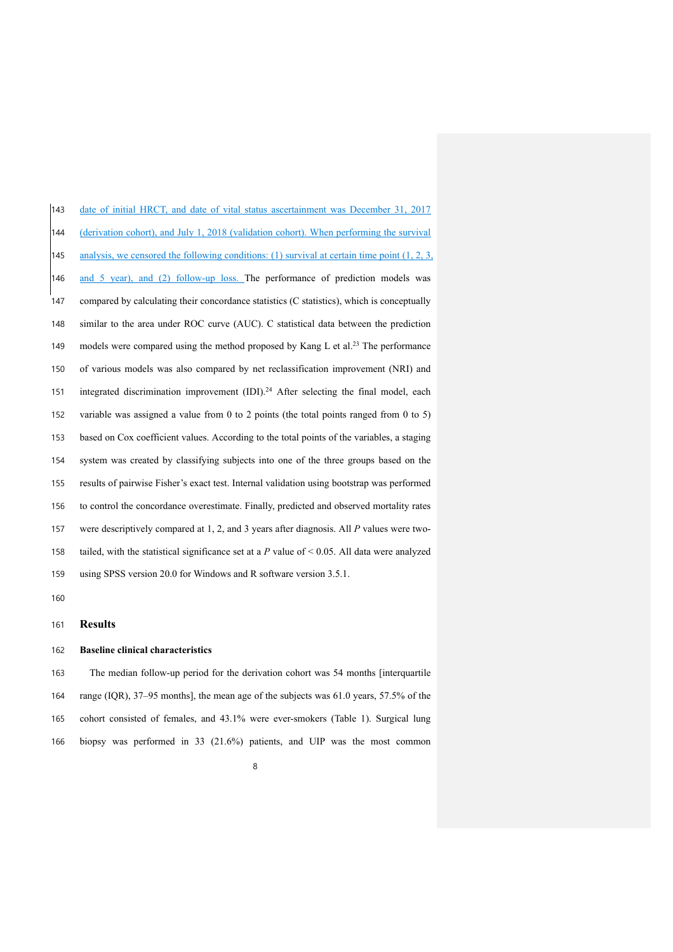| 143 | date of initial HRCT, and date of vital status ascertainment was December 31, 2017                |
|-----|---------------------------------------------------------------------------------------------------|
| 144 | (derivation cohort), and July 1, 2018 (validation cohort). When performing the survival           |
| 145 | analysis, we censored the following conditions: (1) survival at certain time point $(1, 2, 3, 3)$ |
| 146 | and 5 year), and (2) follow-up loss. The performance of prediction models was                     |
| 147 | compared by calculating their concordance statistics (C statistics), which is conceptually        |
| 148 | similar to the area under ROC curve (AUC). C statistical data between the prediction              |
| 149 | models were compared using the method proposed by Kang L et al. <sup>23</sup> The performance     |
| 150 | of various models was also compared by net reclassification improvement (NRI) and                 |
| 151 | integrated discrimination improvement (IDI). <sup>24</sup> After selecting the final model, each  |
| 152 | variable was assigned a value from $0$ to $2$ points (the total points ranged from $0$ to $5$ )   |
| 153 | based on Cox coefficient values. According to the total points of the variables, a staging        |
| 154 | system was created by classifying subjects into one of the three groups based on the              |
| 155 | results of pairwise Fisher's exact test. Internal validation using bootstrap was performed        |
| 156 | to control the concordance overestimate. Finally, predicted and observed mortality rates          |
| 157 | were descriptively compared at 1, 2, and 3 years after diagnosis. All $P$ values were two-        |
| 158 | tailed, with the statistical significance set at a $P$ value of < 0.05. All data were analyzed    |
| 159 | using SPSS version 20.0 for Windows and R software version 3.5.1.                                 |

### **Results**

### **Baseline clinical characteristics**

 The median follow-up period for the derivation cohort was 54 months [interquartile range (IQR), 37–95 months], the mean age of the subjects was 61.0 years, 57.5% of the cohort consisted of females, and 43.1% were ever-smokers (Table 1). Surgical lung biopsy was performed in 33 (21.6%) patients, and UIP was the most common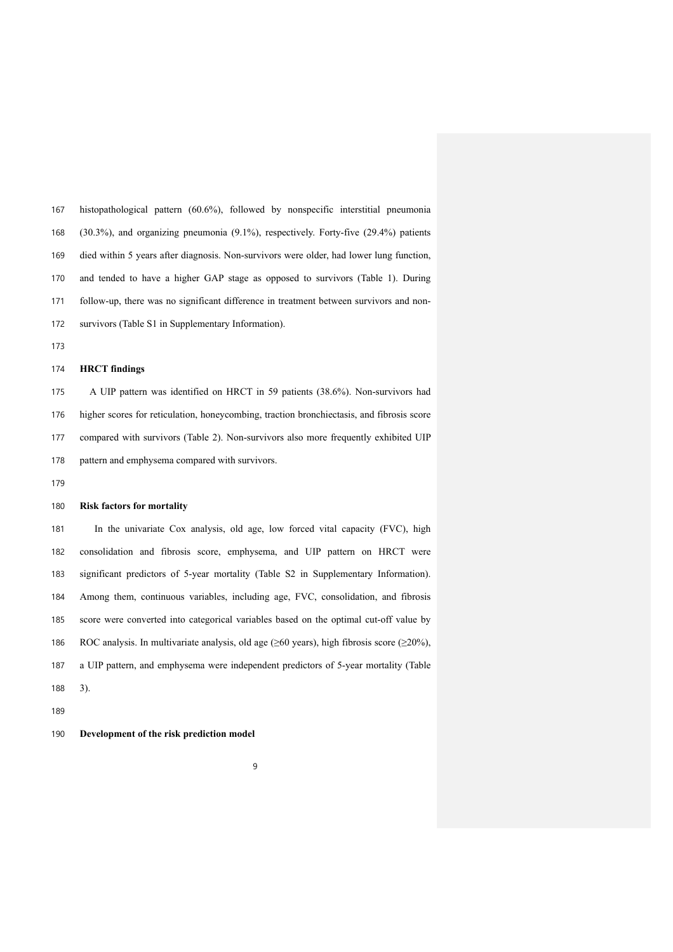histopathological pattern (60.6%), followed by nonspecific interstitial pneumonia (30.3%), and organizing pneumonia (9.1%), respectively. Forty-five (29.4%) patients died within 5 years after diagnosis. Non-survivors were older, had lower lung function, and tended to have a higher GAP stage as opposed to survivors (Table 1). During follow-up, there was no significant difference in treatment between survivors and non-survivors (Table S1 in Supplementary Information).

## **HRCT findings**

 A UIP pattern was identified on HRCT in 59 patients (38.6%). Non-survivors had higher scores for reticulation, honeycombing, traction bronchiectasis, and fibrosis score compared with survivors (Table 2). Non-survivors also more frequently exhibited UIP pattern and emphysema compared with survivors.

#### **Risk factors for mortality**

 In the univariate Cox analysis, old age, low forced vital capacity (FVC), high consolidation and fibrosis score, emphysema, and UIP pattern on HRCT were significant predictors of 5-year mortality (Table S2 in Supplementary Information). Among them, continuous variables, including age, FVC, consolidation, and fibrosis score were converted into categorical variables based on the optimal cut-off value by 186 ROC analysis. In multivariate analysis, old age ( $\geq 60$  years), high fibrosis score ( $\geq 20\%$ ), a UIP pattern, and emphysema were independent predictors of 5-year mortality (Table 3).

#### **Development of the risk prediction model**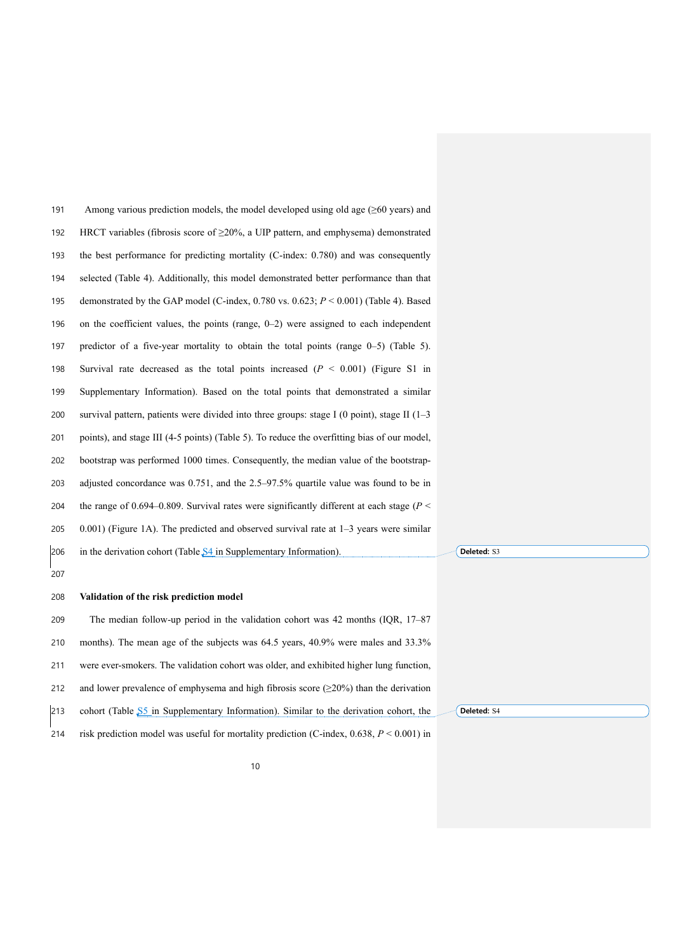191 Among various prediction models, the model developed using old age ( $\geq 60$  years) and 192 HRCT variables (fibrosis score of  $\geq$  20%, a UIP pattern, and emphysema) demonstrated the best performance for predicting mortality (C-index: 0.780) and was consequently selected (Table 4). Additionally, this model demonstrated better performance than that demonstrated by the GAP model (C-index, 0.780 vs. 0.623; *P* < 0.001) (Table 4). Based on the coefficient values, the points (range, 0–2) were assigned to each independent predictor of a five-year mortality to obtain the total points (range 0–5) (Table 5). Survival rate decreased as the total points increased (*P* < 0.001) (Figure S1 in Supplementary Information). Based on the total points that demonstrated a similar 200 survival pattern, patients were divided into three groups: stage I (0 point), stage II (1–3 points), and stage III (4-5 points) (Table 5). To reduce the overfitting bias of our model, bootstrap was performed 1000 times. Consequently, the median value of the bootstrap- adjusted concordance was 0.751, and the 2.5–97.5% quartile value was found to be in the range of 0.694–0.809. Survival rates were significantly different at each stage (*P* < 0.001) (Figure 1A). The predicted and observed survival rate at 1–3 years were similar 206 in the derivation cohort (Table  $S4$  in Supplementary Information). **Validation of the risk prediction model** The median follow-up period in the validation cohort was 42 months (IQR, 17–87 months). The mean age of the subjects was 64.5 years, 40.9% were males and 33.3%

were ever-smokers. The validation cohort was older, and exhibited higher lung function,

212 and lower prevalence of emphysema and high fibrosis score  $(\geq 20\%)$  than the derivation

213 cohort (Table  $\sqrt{55}$  in Supplementary Information). Similar to the derivation cohort, the

risk prediction model was useful for mortality prediction (C-index, 0.638, *P* < 0.001) in

**Deleted: S3** 

Deleted: **S4**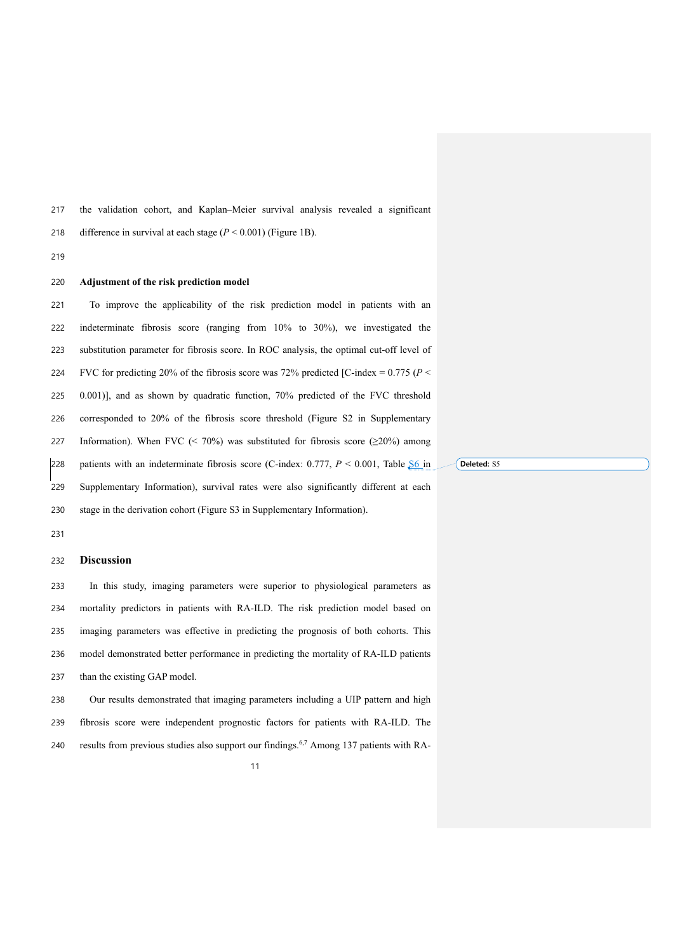the validation cohort, and Kaplan–Meier survival analysis revealed a significant

218 difference in survival at each stage  $(P < 0.001)$  (Figure 1B).

#### 

#### **Adjustment of the risk prediction model**

 To improve the applicability of the risk prediction model in patients with an indeterminate fibrosis score (ranging from 10% to 30%), we investigated the substitution parameter for fibrosis score. In ROC analysis, the optimal cut-off level of 224 FVC for predicting 20% of the fibrosis score was 72% predicted [C-index =  $0.775$  ( $P$  < 0.001)], and as shown by quadratic function, 70% predicted of the FVC threshold corresponded to 20% of the fibrosis score threshold (Figure S2 in Supplementary 227 Information). When FVC (< 70%) was substituted for fibrosis score ( $\geq$ 20%) among 228 patients with an indeterminate fibrosis score (C-index:  $0.777$ ,  $P < 0.001$ , Table  $$6$  in Supplementary Information), survival rates were also significantly different at each stage in the derivation cohort (Figure S3 in Supplementary Information).

#### **Discussion**

 In this study, imaging parameters were superior to physiological parameters as mortality predictors in patients with RA-ILD. The risk prediction model based on imaging parameters was effective in predicting the prognosis of both cohorts. This model demonstrated better performance in predicting the mortality of RA-ILD patients 237 than the existing GAP model.

 Our results demonstrated that imaging parameters including a UIP pattern and high fibrosis score were independent prognostic factors for patients with RA-ILD. The 240 results from previous studies also support our findings.<sup>6,7</sup> Among 137 patients with RA-

Deleted: S5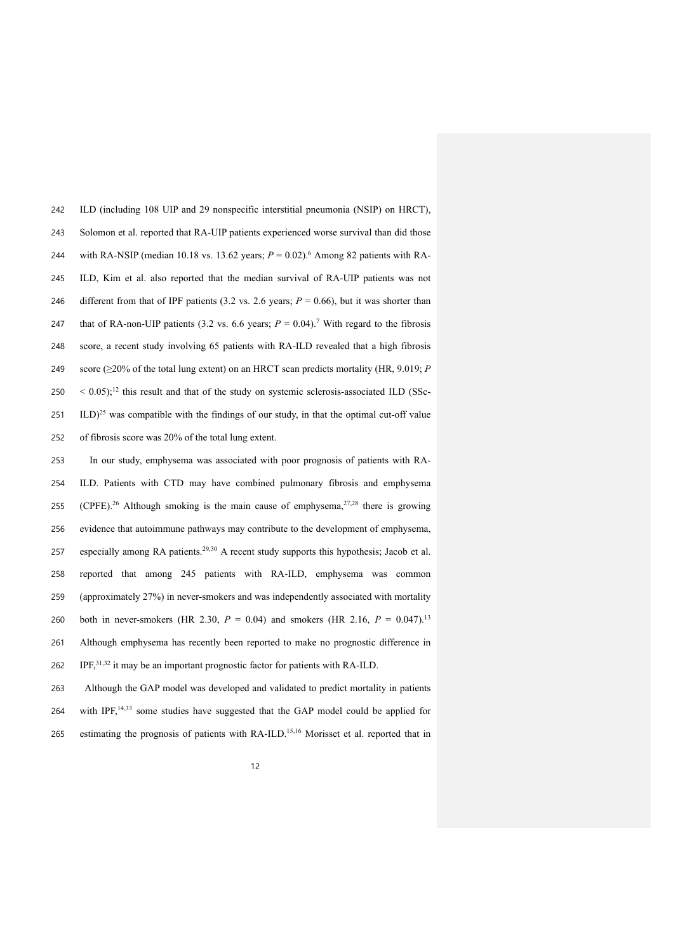ILD (including 108 UIP and 29 nonspecific interstitial pneumonia (NSIP) on HRCT), Solomon et al. reported that RA-UIP patients experienced worse survival than did those 244 with RA-NSIP (median 10.18 vs. 13.62 years;  $P = 0.02$ ).<sup>6</sup> Among 82 patients with RA- ILD, Kim et al. also reported that the median survival of RA-UIP patients was not 246 different from that of IPF patients  $(3.2 \text{ vs. } 2.6 \text{ years}; P = 0.66)$ , but it was shorter than 247 that of RA-non-UIP patients (3.2 vs. 6.6 years;  $P = 0.04$ ).<sup>7</sup> With regard to the fibrosis score, a recent study involving 65 patients with RA-ILD revealed that a high fibrosis score (≥20% of the total lung extent) on an HRCT scan predicts mortality (HR, 9.019; *P*  $250 \leq 0.05$ );<sup>12</sup> this result and that of the study on systemic sclerosis-associated ILD (SSc- ILD)<sup>25</sup> was compatible with the findings of our study, in that the optimal cut-off value of fibrosis score was 20% of the total lung extent.

253 In our study, emphysema was associated with poor prognosis of patients with RA-254 ILD. Patients with CTD may have combined pulmonary fibrosis and emphysema 255 (CPFE).<sup>26</sup> Although smoking is the main cause of emphysema,<sup>27,28</sup> there is growing 256 evidence that autoimmune pathways may contribute to the development of emphysema, 257 especially among RA patients.<sup>29,30</sup> A recent study supports this hypothesis; Jacob et al. 258 reported that among 245 patients with RA-ILD, emphysema was common 259 (approximately 27%) in never-smokers and was independently associated with mortality 260 both in never-smokers (HR 2.30,  $P = 0.04$ ) and smokers (HR 2.16,  $P = 0.047$ ).<sup>13</sup> 261 Although emphysema has recently been reported to make no prognostic difference in 262 IPF,<sup>31,32</sup> it may be an important prognostic factor for patients with RA-ILD.

263 Although the GAP model was developed and validated to predict mortality in patients 264 with IPF,<sup>14,33</sup> some studies have suggested that the GAP model could be applied for 265 estimating the prognosis of patients with  $RA-ILD$ <sup>15,16</sup> Morisset et al. reported that in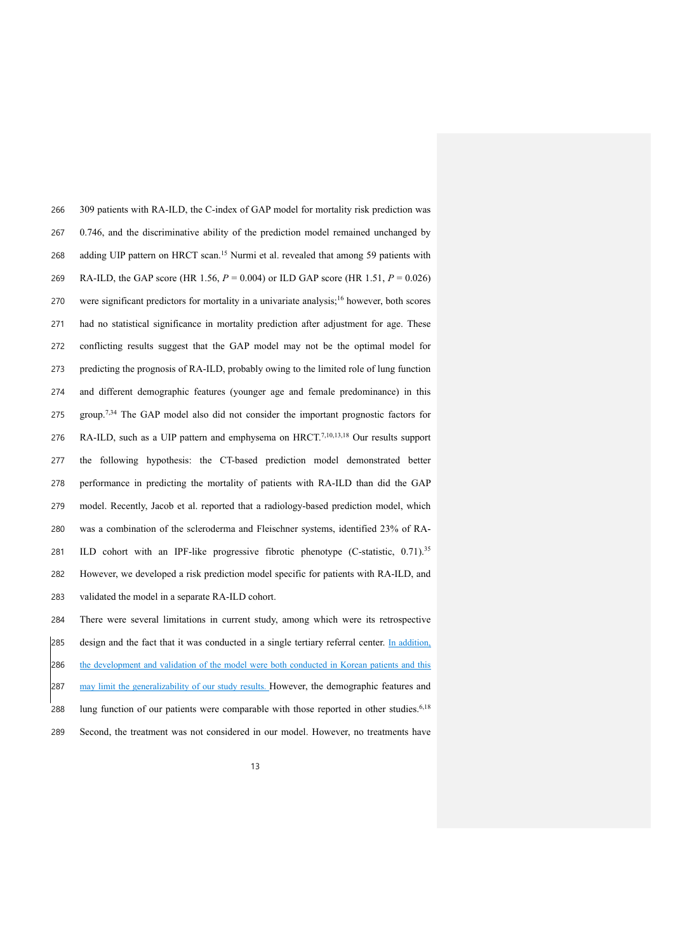309 patients with RA-ILD, the C-index of GAP model for mortality risk prediction was 0.746, and the discriminative ability of the prediction model remained unchanged by 268 adding UIP pattern on HRCT scan.<sup>15</sup> Nurmi et al. revealed that among 59 patients with RA-ILD, the GAP score (HR 1.56, *P* = 0.004) or ILD GAP score (HR 1.51, *P* = 0.026) 270 were significant predictors for mortality in a univariate analysis;<sup>16</sup> however, both scores had no statistical significance in mortality prediction after adjustment for age. These conflicting results suggest that the GAP model may not be the optimal model for predicting the prognosis of RA-ILD, probably owing to the limited role of lung function and different demographic features (younger age and female predominance) in this 275 group.<sup>7,34</sup> The GAP model also did not consider the important prognostic factors for 276 RA-ILD, such as a UIP pattern and emphysema on HRCT.<sup>7,10,13,18</sup> Our results support the following hypothesis: the CT-based prediction model demonstrated better performance in predicting the mortality of patients with RA-ILD than did the GAP model. Recently, Jacob et al. reported that a radiology-based prediction model, which was a combination of the scleroderma and Fleischner systems, identified 23% of RA-281 ILD cohort with an IPF-like progressive fibrotic phenotype (C-statistic, 0.71).<sup>35</sup> However, we developed a risk prediction model specific for patients with RA-ILD, and validated the model in a separate RA-ILD cohort.

 There were several limitations in current study, among which were its retrospective 285 design and the fact that it was conducted in a single tertiary referral center. In addition, 286 the development and validation of the model were both conducted in Korean patients and this 287 may limit the generalizability of our study results. However, the demographic features and 288 lung function of our patients were comparable with those reported in other studies.<sup>6,18</sup> Second, the treatment was not considered in our model. However, no treatments have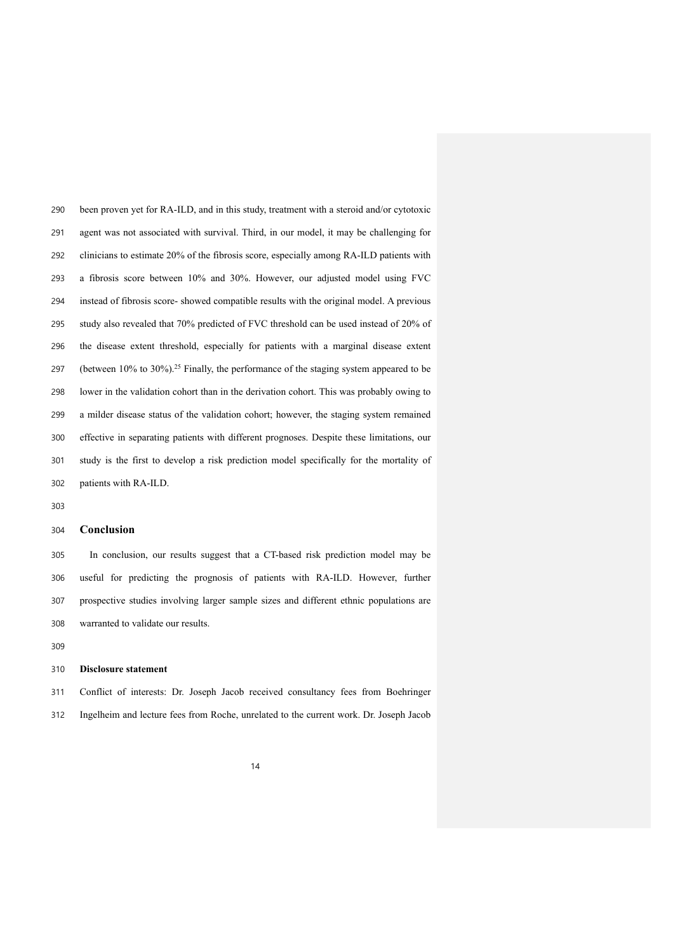been proven yet for RA-ILD, and in this study, treatment with a steroid and/or cytotoxic agent was not associated with survival. Third, in our model, it may be challenging for clinicians to estimate 20% of the fibrosis score, especially among RA-ILD patients with a fibrosis score between 10% and 30%. However, our adjusted model using FVC instead of fibrosis score- showed compatible results with the original model. A previous study also revealed that 70% predicted of FVC threshold can be used instead of 20% of the disease extent threshold, especially for patients with a marginal disease extent 297 (between  $10\%$  to  $30\%$ ).<sup>25</sup> Finally, the performance of the staging system appeared to be lower in the validation cohort than in the derivation cohort. This was probably owing to a milder disease status of the validation cohort; however, the staging system remained effective in separating patients with different prognoses. Despite these limitations, our study is the first to develop a risk prediction model specifically for the mortality of patients with RA-ILD.

#### **Conclusion**

 In conclusion, our results suggest that a CT-based risk prediction model may be useful for predicting the prognosis of patients with RA-ILD. However, further prospective studies involving larger sample sizes and different ethnic populations are warranted to validate our results.

#### **Disclosure statement**

 Conflict of interests: Dr. Joseph Jacob received consultancy fees from Boehringer Ingelheim and lecture fees from Roche, unrelated to the current work. Dr. Joseph Jacob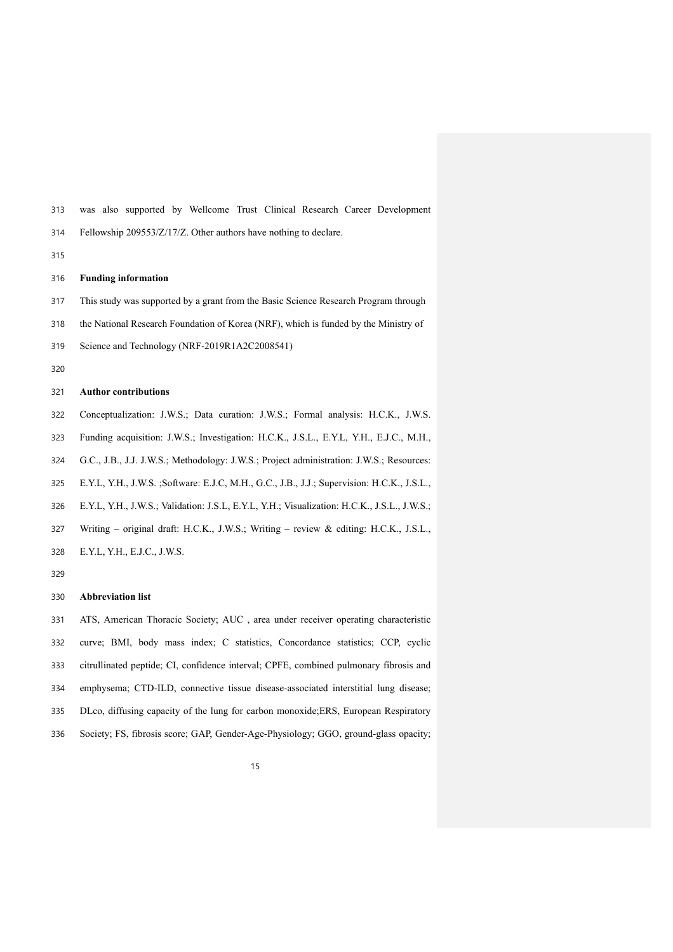was also supported by Wellcome Trust Clinical Research Career Development

Fellowship 209553/Z/17/Z. Other authors have nothing to declare.

#### 

#### **Funding information**

This study was supported by a grant from the Basic Science Research Program through

the National Research Foundation of Korea (NRF), which is funded by the Ministry of

- Science and Technology (NRF-2019R1A2C2008541)
- 

### **Author contributions**

- Conceptualization: J.W.S.; Data curation: J.W.S.; Formal analysis: H.C.K., J.W.S.
- Funding acquisition: J.W.S.; Investigation: H.C.K., J.S.L., E.Y.L, Y.H., E.J.C., M.H.,
- G.C., J.B., J.J. J.W.S.; Methodology: J.W.S.; Project administration: J.W.S.; Resources:
- E.Y.L, Y.H., J.W.S. ;Software: E.J.C, M.H., G.C., J.B., J.J.; Supervision: H.C.K., J.S.L.,
- E.Y.L, Y.H., J.W.S.; Validation: J.S.L, E.Y.L, Y.H.; Visualization: H.C.K., J.S.L., J.W.S.;
- Writing original draft: H.C.K., J.W.S.; Writing review & editing: H.C.K., J.S.L.,
- E.Y.L, Y.H., E.J.C., J.W.S.

#### **Abbreviation list**

 ATS, American Thoracic Society; AUC , area under receiver operating characteristic curve; BMI, body mass index; C statistics, Concordance statistics; CCP, cyclic citrullinated peptide; CI, confidence interval; CPFE, combined pulmonary fibrosis and emphysema; CTD-ILD, connective tissue disease-associated interstitial lung disease; DLco, diffusing capacity of the lung for carbon monoxide;ERS, European Respiratory Society; FS, fibrosis score; GAP, Gender-Age-Physiology; GGO, ground-glass opacity;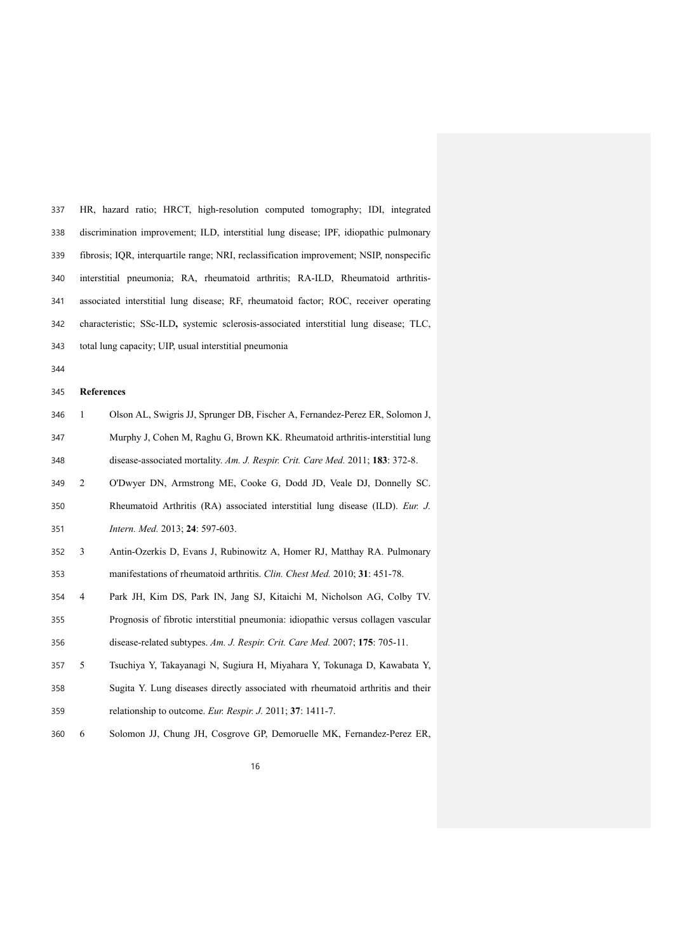| 337 | HR, hazard ratio; HRCT, high-resolution computed tomography; IDI, integrated             |
|-----|------------------------------------------------------------------------------------------|
| 338 | discrimination improvement; ILD, interstitial lung disease; IPF, idiopathic pulmonary    |
| 339 | fibrosis; IQR, interquartile range; NRI, reclassification improvement; NSIP, nonspecific |
| 340 | interstitial pneumonia; RA, rheumatoid arthritis; RA-ILD, Rheumatoid arthritis-          |
| 341 | associated interstitial lung disease; RF, rheumatoid factor; ROC, receiver operating     |
| 342 | characteristic; SSc-ILD, systemic sclerosis-associated interstitial lung disease; TLC,   |
| 343 | total lung capacity; UIP, usual interstitial pneumonia                                   |

### **References**

| 346 | Olson AL, Swigris JJ, Sprunger DB, Fischer A, Fernandez-Perez ER, Solomon J,   |
|-----|--------------------------------------------------------------------------------|
| 347 | Murphy J, Cohen M, Raghu G, Brown KK. Rheumatoid arthritis-interstitial lung   |
| 348 | disease-associated mortality. Am. J. Respir. Crit. Care Med. 2011; 183: 372-8. |
| 349 | O'Dwyer DN, Armstrong ME, Cooke G, Dodd JD, Veale DJ, Donnelly SC.             |

- Rheumatoid Arthritis (RA) associated interstitial lung disease (ILD). *Eur. J. Intern. Med.* 2013; **24**: 597-603.
- 3 Antin-Ozerkis D, Evans J, Rubinowitz A, Homer RJ, Matthay RA. Pulmonary manifestations of rheumatoid arthritis. *Clin. Chest Med.* 2010; **31**: 451-78.
- 4 Park JH, Kim DS, Park IN, Jang SJ, Kitaichi M, Nicholson AG, Colby TV. Prognosis of fibrotic interstitial pneumonia: idiopathic versus collagen vascular disease-related subtypes. *Am. J. Respir. Crit. Care Med.* 2007; **175**: 705-11.
- 5 Tsuchiya Y, Takayanagi N, Sugiura H, Miyahara Y, Tokunaga D, Kawabata Y, Sugita Y. Lung diseases directly associated with rheumatoid arthritis and their relationship to outcome. *Eur. Respir. J.* 2011; **37**: 1411-7.
- 6 Solomon JJ, Chung JH, Cosgrove GP, Demoruelle MK, Fernandez-Perez ER,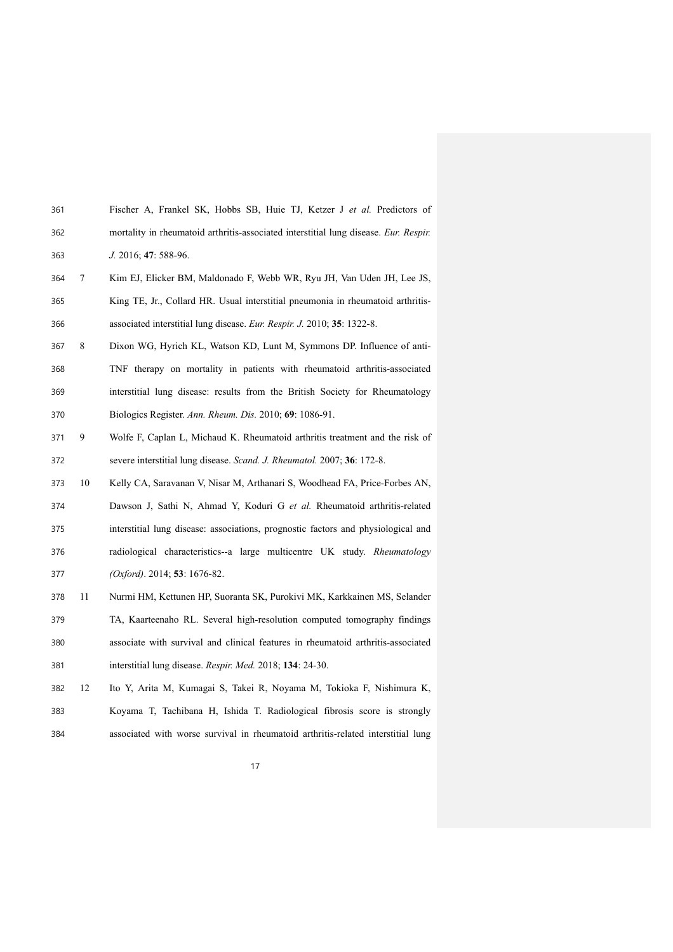| 361 |   | Fischer A, Frankel SK, Hobbs SB, Huie TJ, Ketzer J et al. Predictors of              |
|-----|---|--------------------------------------------------------------------------------------|
| 362 |   | mortality in rheumatoid arthritis-associated interstitial lung disease. Eur. Respir. |
| 363 |   | $J. 2016$ ; 47: 588-96.                                                              |
| 364 | 7 | Kim EJ, Elicker BM, Maldonado F, Webb WR, Ryu JH, Van Uden JH, Lee JS,               |
| 365 |   | King TE, Jr., Collard HR. Usual interstitial pneumonia in rheumatoid arthritis-      |
| 366 |   | associated interstitial lung disease. Eur. Respir. J. 2010; 35: 1322-8.              |
| 367 | 8 | Dixon WG, Hyrich KL, Watson KD, Lunt M, Symmons DP. Influence of anti-               |

- TNF therapy on mortality in patients with rheumatoid arthritis-associated interstitial lung disease: results from the British Society for Rheumatology Biologics Register. *Ann. Rheum. Dis.* 2010; **69**: 1086-91.
- 9 Wolfe F, Caplan L, Michaud K. Rheumatoid arthritis treatment and the risk of severe interstitial lung disease. *Scand. J. Rheumatol.* 2007; **36**: 172-8.
- 10 Kelly CA, Saravanan V, Nisar M, Arthanari S, Woodhead FA, Price-Forbes AN, Dawson J, Sathi N, Ahmad Y, Koduri G *et al.* Rheumatoid arthritis-related interstitial lung disease: associations, prognostic factors and physiological and radiological characteristics--a large multicentre UK study. *Rheumatology (Oxford)*. 2014; **53**: 1676-82.
- 11 Nurmi HM, Kettunen HP, Suoranta SK, Purokivi MK, Karkkainen MS, Selander TA, Kaarteenaho RL. Several high-resolution computed tomography findings associate with survival and clinical features in rheumatoid arthritis-associated interstitial lung disease. *Respir. Med.* 2018; **134**: 24-30.
- 12 Ito Y, Arita M, Kumagai S, Takei R, Noyama M, Tokioka F, Nishimura K, Koyama T, Tachibana H, Ishida T. Radiological fibrosis score is strongly associated with worse survival in rheumatoid arthritis-related interstitial lung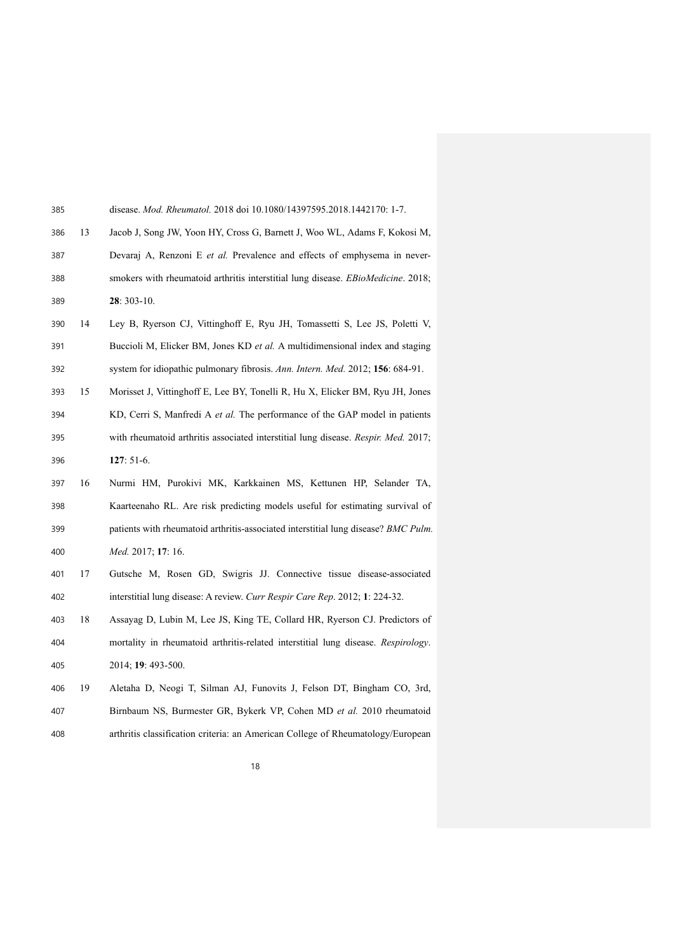| 385 |    | disease. <i>Mod. Rheumatol.</i> 2018 doi 10.1080/14397595.2018.1442170: 1-7.       |
|-----|----|------------------------------------------------------------------------------------|
| 386 | 13 | Jacob J, Song JW, Yoon HY, Cross G, Barnett J, Woo WL, Adams F, Kokosi M,          |
| 387 |    | Devaraj A, Renzoni E et al. Prevalence and effects of emphysema in never-          |
| 388 |    | smokers with rheumatoid arthritis interstitial lung disease. EBioMedicine. 2018;   |
| 389 |    | 28: 303-10.                                                                        |
| 390 | 14 | Ley B, Ryerson CJ, Vittinghoff E, Ryu JH, Tomassetti S, Lee JS, Poletti V,         |
| 391 |    | Buccioli M, Elicker BM, Jones KD et al. A multidimensional index and staging       |
| 392 |    | system for idiopathic pulmonary fibrosis. Ann. Intern. Med. 2012; 156: 684-91.     |
| 393 | 15 | Morisset J, Vittinghoff E, Lee BY, Tonelli R, Hu X, Elicker BM, Ryu JH, Jones      |
| 394 |    | KD, Cerri S, Manfredi A et al. The performance of the GAP model in patients        |
| 395 |    | with rheumatoid arthritis associated interstitial lung disease. Respir. Med. 2017; |
| 396 |    | $127:51-6.$                                                                        |
| 397 | 16 | Nurmi HM, Purokivi MK, Karkkainen MS, Kettunen HP, Selander TA,                    |
| 398 |    | Kaarteenaho RL. Are risk predicting models useful for estimating survival of       |
| 399 |    | patients with rheumatoid arthritis-associated interstitial lung disease? BMC Pulm. |
| 400 |    | Med. 2017; 17: 16.                                                                 |
| 401 | 17 | Gutsche M, Rosen GD, Swigris JJ. Connective tissue disease-associated              |
| 402 |    | interstitial lung disease: A review. Curr Respir Care Rep. 2012; 1: 224-32.        |
| 403 | 18 | Assayag D, Lubin M, Lee JS, King TE, Collard HR, Ryerson CJ. Predictors of         |
| 404 |    | mortality in rheumatoid arthritis-related interstitial lung disease. Respirology.  |
| 405 |    | 2014; 19: 493-500.                                                                 |
| 406 | 19 | Aletaha D, Neogi T, Silman AJ, Funovits J, Felson DT, Bingham CO, 3rd,             |
| 407 |    | Birnbaum NS, Burmester GR, Bykerk VP, Cohen MD et al. 2010 rheumatoid              |
| 408 |    | arthritis classification criteria: an American College of Rheumatology/European    |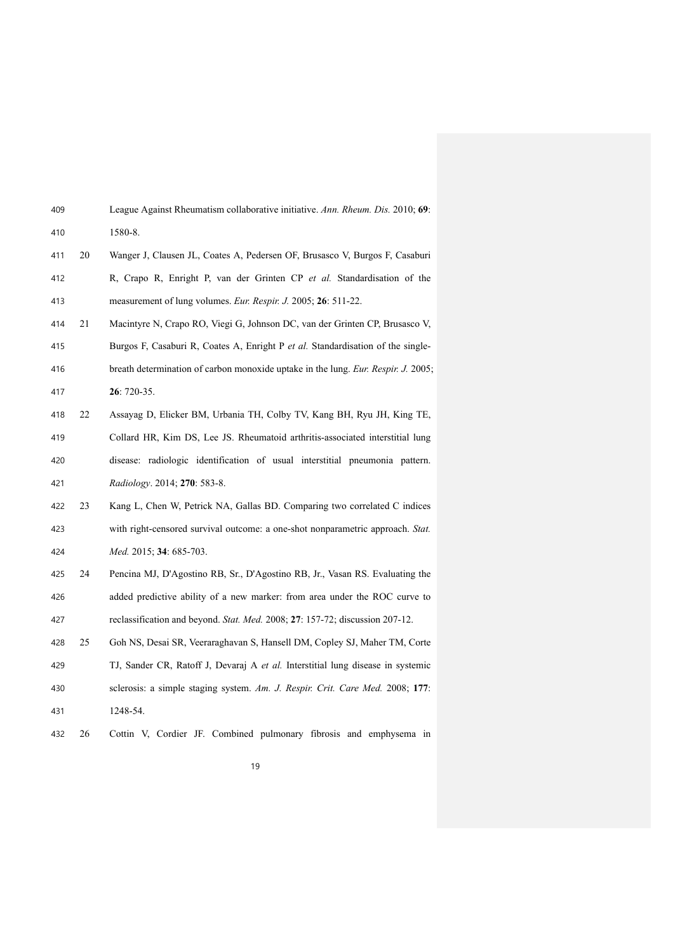| 409 |    | League Against Rheumatism collaborative initiative. Ann. Rheum. Dis. 2010; 69:    |
|-----|----|-----------------------------------------------------------------------------------|
| 410 |    | 1580-8.                                                                           |
| 411 | 20 | Wanger J, Clausen JL, Coates A, Pedersen OF, Brusasco V, Burgos F, Casaburi       |
| 412 |    | R, Crapo R, Enright P, van der Grinten CP et al. Standardisation of the           |
| 413 |    | measurement of lung volumes. Eur. Respir. J. 2005; 26: 511-22.                    |
| 414 | 21 | Macintyre N, Crapo RO, Viegi G, Johnson DC, van der Grinten CP, Brusasco V,       |
| 415 |    | Burgos F, Casaburi R, Coates A, Enright P et al. Standardisation of the single-   |
| 416 |    | breath determination of carbon monoxide uptake in the lung. Eur. Respir. J. 2005; |
| 417 |    | $26:720-35.$                                                                      |
| 418 | 22 | Assayag D, Elicker BM, Urbania TH, Colby TV, Kang BH, Ryu JH, King TE,            |
| 419 |    | Collard HR, Kim DS, Lee JS. Rheumatoid arthritis-associated interstitial lung     |
| 420 |    | disease: radiologic identification of usual interstitial pneumonia pattern.       |
| 421 |    | Radiology. 2014; 270: 583-8.                                                      |
| 422 | 23 | Kang L, Chen W, Petrick NA, Gallas BD. Comparing two correlated C indices         |
| 423 |    | with right-censored survival outcome: a one-shot nonparametric approach. Stat.    |
| 424 |    | Med. 2015; 34: 685-703.                                                           |
| 425 | 24 | Pencina MJ, D'Agostino RB, Sr., D'Agostino RB, Jr., Vasan RS. Evaluating the      |
| 426 |    | added predictive ability of a new marker: from area under the ROC curve to        |
| 427 |    | reclassification and beyond. Stat. Med. 2008; 27: 157-72; discussion 207-12.      |
| 428 | 25 | Goh NS, Desai SR, Veeraraghavan S, Hansell DM, Copley SJ, Maher TM, Corte         |
| 429 |    | TJ, Sander CR, Ratoff J, Devaraj A et al. Interstitial lung disease in systemic   |
| 430 |    | sclerosis: a simple staging system. Am. J. Respir. Crit. Care Med. 2008; 177:     |
| 431 |    | 1248-54.                                                                          |
| 432 | 26 | Cottin V, Cordier JF. Combined pulmonary fibrosis and emphysema in                |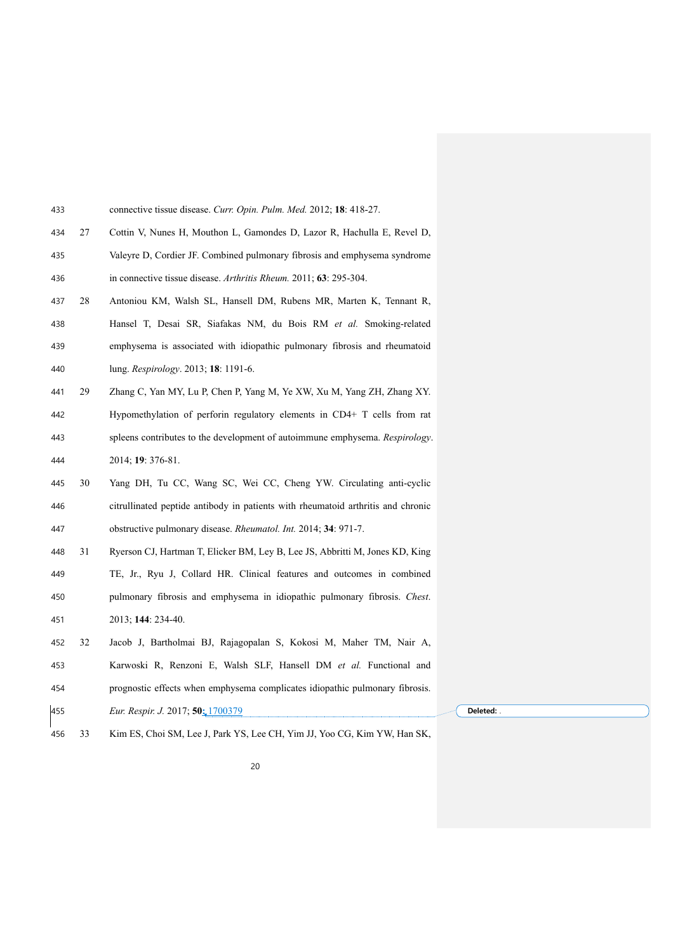| 433 |    | connective tissue disease. Curr. Opin. Pulm. Med. 2012; 18: 418-27.              |  |
|-----|----|----------------------------------------------------------------------------------|--|
| 434 | 27 | Cottin V, Nunes H, Mouthon L, Gamondes D, Lazor R, Hachulla E, Revel D,          |  |
| 435 |    | Valeyre D, Cordier JF. Combined pulmonary fibrosis and emphysema syndrome        |  |
| 436 |    | in connective tissue disease. Arthritis Rheum. 2011; 63: 295-304.                |  |
| 437 | 28 | Antoniou KM, Walsh SL, Hansell DM, Rubens MR, Marten K, Tennant R,               |  |
| 438 |    | Hansel T, Desai SR, Siafakas NM, du Bois RM et al. Smoking-related               |  |
| 439 |    | emphysema is associated with idiopathic pulmonary fibrosis and rheumatoid        |  |
| 440 |    | lung. Respirology. 2013; 18: 1191-6.                                             |  |
| 441 | 29 | Zhang C, Yan MY, Lu P, Chen P, Yang M, Ye XW, Xu M, Yang ZH, Zhang XY.           |  |
| 442 |    | Hypomethylation of perforin regulatory elements in CD4+ T cells from rat         |  |
| 443 |    | spleens contributes to the development of autoimmune emphysema. Respirology.     |  |
| 444 |    | 2014; 19: 376-81.                                                                |  |
| 445 | 30 | Yang DH, Tu CC, Wang SC, Wei CC, Cheng YW. Circulating anti-cyclic               |  |
| 446 |    | citrullinated peptide antibody in patients with rheumatoid arthritis and chronic |  |
| 447 |    | obstructive pulmonary disease. Rheumatol. Int. 2014; 34: 971-7.                  |  |
| 448 | 31 | Ryerson CJ, Hartman T, Elicker BM, Ley B, Lee JS, Abbritti M, Jones KD, King     |  |
| 449 |    | TE, Jr., Ryu J, Collard HR. Clinical features and outcomes in combined           |  |
| 450 |    | pulmonary fibrosis and emphysema in idiopathic pulmonary fibrosis. Chest.        |  |
| 451 |    | 2013; 144: 234-40.                                                               |  |
| 452 | 32 | Jacob J, Bartholmai BJ, Rajagopalan S, Kokosi M, Maher TM, Nair A,               |  |
| 453 |    | Karwoski R, Renzoni E, Walsh SLF, Hansell DM et al. Functional and               |  |
| 454 |    | prognostic effects when emphysema complicates idiopathic pulmonary fibrosis.     |  |
| 455 |    | Eur. Respir. J. 2017; 50: 1700379                                                |  |
| 456 | 33 | Kim ES, Choi SM, Lee J, Park YS, Lee CH, Yim JJ, Yoo CG, Kim YW, Han SK,         |  |

**Deleted:** .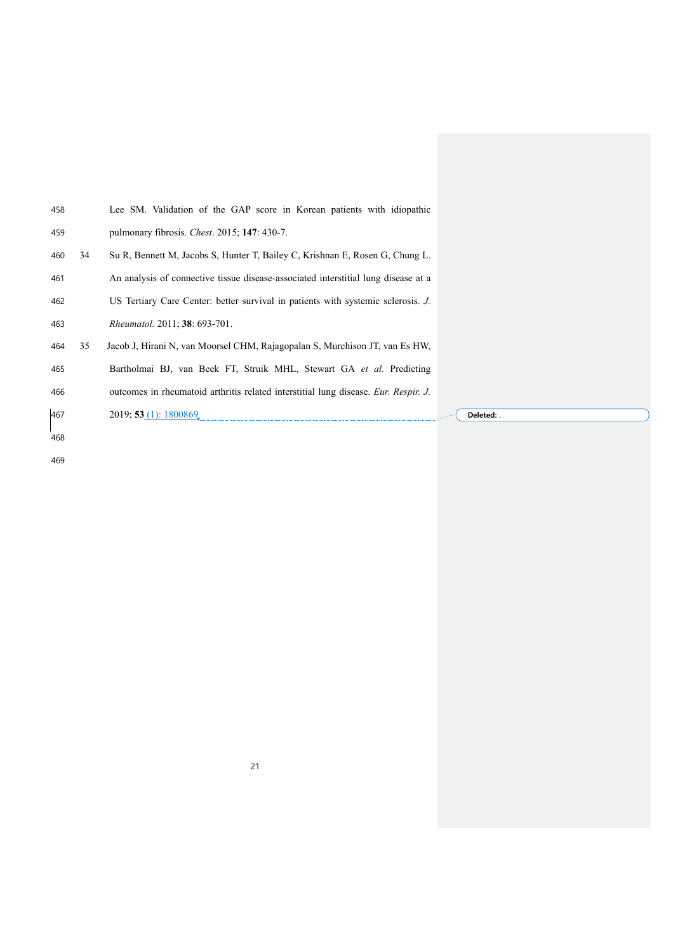| 458 |    | Lee SM. Validation of the GAP score in Korean patients with idiopathic              |            |
|-----|----|-------------------------------------------------------------------------------------|------------|
| 459 |    | pulmonary fibrosis. Chest. 2015; 147: 430-7.                                        |            |
| 460 | 34 | Su R, Bennett M, Jacobs S, Hunter T, Bailey C, Krishnan E, Rosen G, Chung L.        |            |
| 461 |    | An analysis of connective tissue disease-associated interstitial lung disease at a  |            |
| 462 |    | US Tertiary Care Center: better survival in patients with systemic sclerosis. J.    |            |
| 463 |    | <i>Rheumatol.</i> 2011; 38: 693-701.                                                |            |
| 464 | 35 | Jacob J, Hirani N, van Moorsel CHM, Rajagopalan S, Murchison JT, van Es HW,         |            |
| 465 |    | Bartholmai BJ, van Beek FT, Struik MHL, Stewart GA et al. Predicting                |            |
| 466 |    | outcomes in rheumatoid arthritis related interstitial lung disease. Eur. Respir. J. |            |
| 467 |    | 2019; 53 (1): 1800869                                                               | Deleted: . |
| 468 |    |                                                                                     |            |
| 469 |    |                                                                                     |            |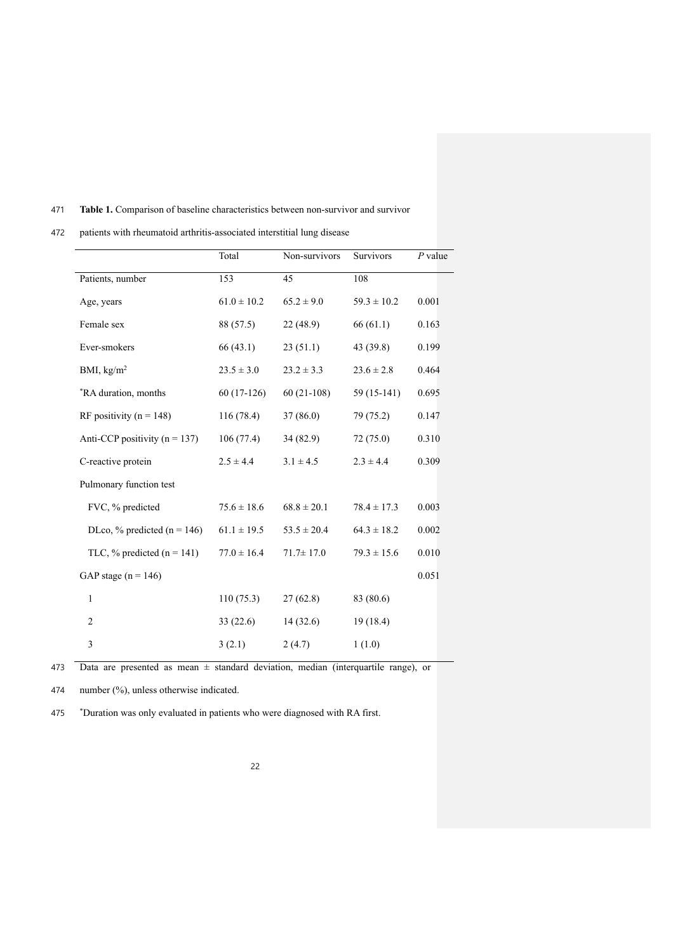### 471 **Table 1.** Comparison of baseline characteristics between non-survivor and survivor

472 patients with rheumatoid arthritis-associated interstitial lung disease

|                                   | Total           | Non-survivors   | Survivors       | $P$ value |
|-----------------------------------|-----------------|-----------------|-----------------|-----------|
| Patients, number                  | 153             | 45              | 108             |           |
| Age, years                        | $61.0 \pm 10.2$ | $65.2 \pm 9.0$  | $59.3 \pm 10.2$ | 0.001     |
| Female sex                        | 88 (57.5)       | 22(48.9)        | 66(61.1)        | 0.163     |
| Ever-smokers                      | 66 (43.1)       | 23(51.1)        | 43 (39.8)       | 0.199     |
| BMI, $\text{kg/m}^2$              | $23.5 \pm 3.0$  | $23.2 \pm 3.3$  | $23.6 \pm 2.8$  | 0.464     |
| *RA duration, months              | $60(17-126)$    | $60(21-108)$    | 59 (15-141)     | 0.695     |
| RF positivity ( $n = 148$ )       | 116(78.4)       | 37(86.0)        | 79 (75.2)       | 0.147     |
| Anti-CCP positivity ( $n = 137$ ) | 106(77.4)       | 34 (82.9)       | 72(75.0)        | 0.310     |
| C-reactive protein                | $2.5 \pm 4.4$   | $3.1 \pm 4.5$   | $2.3 \pm 4.4$   | 0.309     |
| Pulmonary function test           |                 |                 |                 |           |
| FVC, % predicted                  | $75.6 \pm 18.6$ | $68.8 \pm 20.1$ | $78.4 \pm 17.3$ | 0.003     |
| DLco, % predicted ( $n = 146$ )   | $61.1 \pm 19.5$ | $53.5 \pm 20.4$ | $64.3 \pm 18.2$ | 0.002     |
| TLC, % predicted $(n = 141)$      | $77.0 \pm 16.4$ | $71.7 \pm 17.0$ | $79.3 \pm 15.6$ | 0.010     |
| GAP stage $(n = 146)$             |                 |                 |                 | 0.051     |
| $\mathbf{1}$                      | 110(75.3)       | 27(62.8)        | 83 (80.6)       |           |
| 2                                 | 33(22.6)        | 14(32.6)        | 19 (18.4)       |           |
| 3                                 | 3(2.1)          | 2(4.7)          | 1(1.0)          |           |

473 Data are presented as mean ± standard deviation, median (interquartile range), or

474 number (%), unless otherwise indicated.

475 \* Duration was only evaluated in patients who were diagnosed with RA first.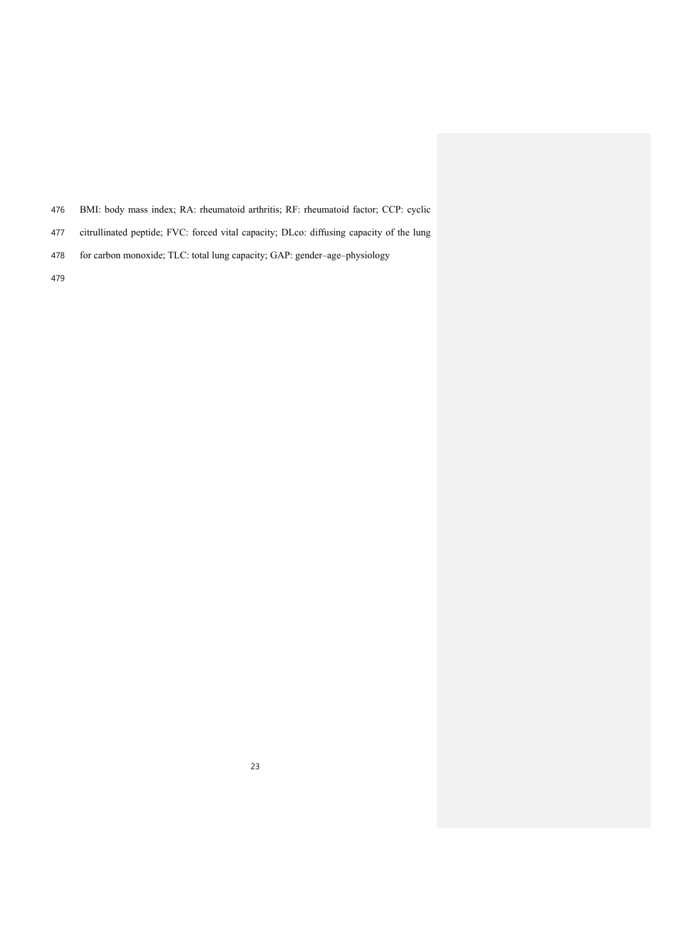- BMI: body mass index; RA: rheumatoid arthritis; RF: rheumatoid factor; CCP: cyclic
- citrullinated peptide; FVC: forced vital capacity; DLco: diffusing capacity of the lung
- for carbon monoxide; TLC: total lung capacity; GAP: gender–age–physiology
-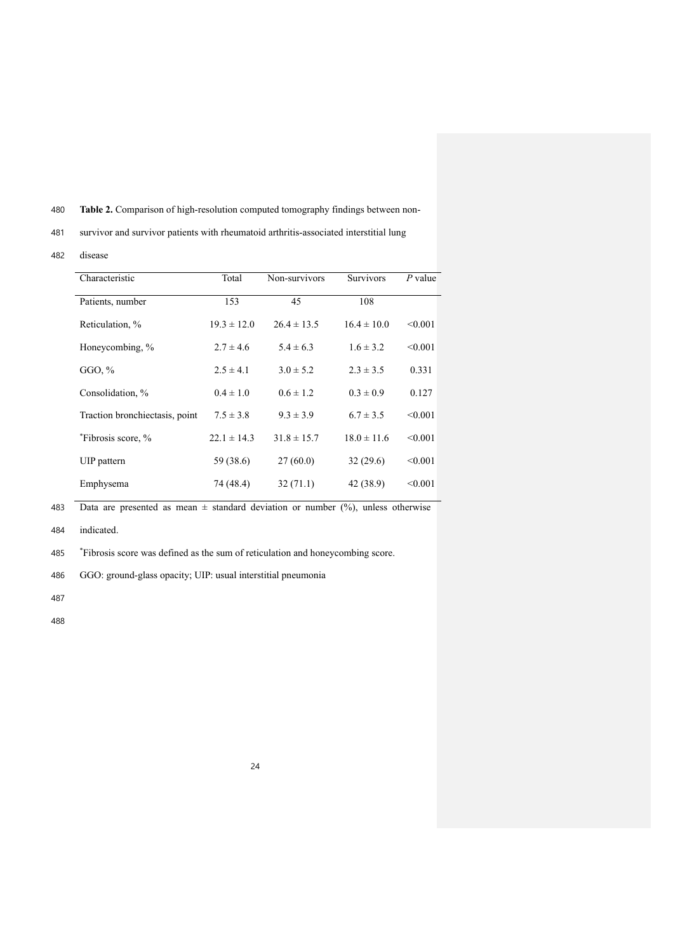480 **Table 2.** Comparison of high-resolution computed tomography findings between non-

481 survivor and survivor patients with rheumatoid arthritis-associated interstitial lung

482 disease

| Characteristic                 | Total           | Non-survivors   | <b>Survivors</b> | $P$ value |
|--------------------------------|-----------------|-----------------|------------------|-----------|
| Patients, number               | 153             | 45              | 108              |           |
| Reticulation, %                | $19.3 \pm 12.0$ | $26.4 \pm 13.5$ | $16.4 \pm 10.0$  | < 0.001   |
| Honeycombing, %                | $2.7 \pm 4.6$   | $5.4 \pm 6.3$   | $1.6 \pm 3.2$    | < 0.001   |
| GGO, $%$                       | $2.5 \pm 4.1$   | $3.0 \pm 5.2$   | $2.3 \pm 3.5$    | 0.331     |
| Consolidation, %               | $0.4 \pm 1.0$   | $0.6 \pm 1.2$   | $0.3 \pm 0.9$    | 0.127     |
| Traction bronchiectasis, point | $7.5 \pm 3.8$   | $9.3 \pm 3.9$   | $6.7 \pm 3.5$    | < 0.001   |
| *Fibrosis score, %             | $22.1 \pm 14.3$ | $31.8 \pm 15.7$ | $18.0 \pm 11.6$  | < 0.001   |
| UIP pattern                    | 59 (38.6)       | 27(60.0)        | 32(29.6)         | < 0.001   |
| Emphysema                      | 74 (48.4)       | 32(71.1)        | 42 (38.9)        | < 0.001   |

483 Data are presented as mean  $\pm$  standard deviation or number (%), unless otherwise

484 indicated.

\* 485 Fibrosis score was defined as the sum of reticulation and honeycombing score.

486 GGO: ground-glass opacity; UIP: usual interstitial pneumonia

487

488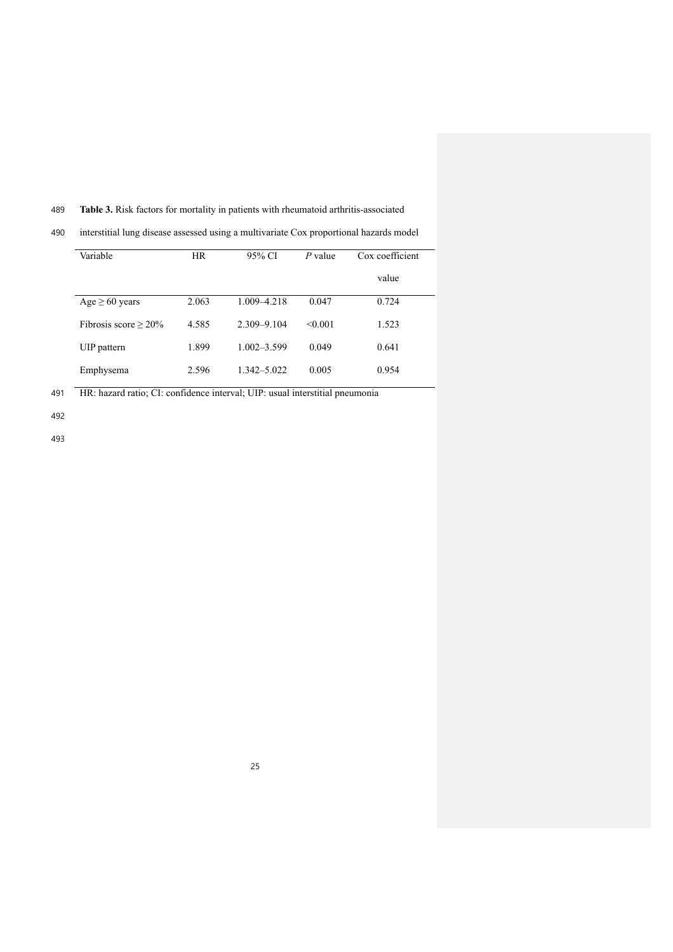## 489 **Table 3.** Risk factors for mortality in patients with rheumatoid arthritis-associated

490 interstitial lung disease assessed using a multivariate Cox proportional hazards model

| Variable                   | <b>HR</b> | 95% CI          | $P$ value | Cox coefficient |  |
|----------------------------|-----------|-----------------|-----------|-----------------|--|
|                            |           |                 |           | value           |  |
| $Age \geq 60$ years        | 2.063     | 1.009-4.218     | 0.047     | 0.724           |  |
| Fibrosis score $\geq 20\%$ | 4.585     | $2.309 - 9.104$ | < 0.001   | 1.523           |  |
| UIP pattern                | 1.899     | $1.002 - 3.599$ | 0.049     | 0.641           |  |
| Emphysema                  | 2.596     | 1.342–5.022     | 0.005     | 0.954           |  |

491 HR: hazard ratio; CI: confidence interval; UIP: usual interstitial pneumonia

492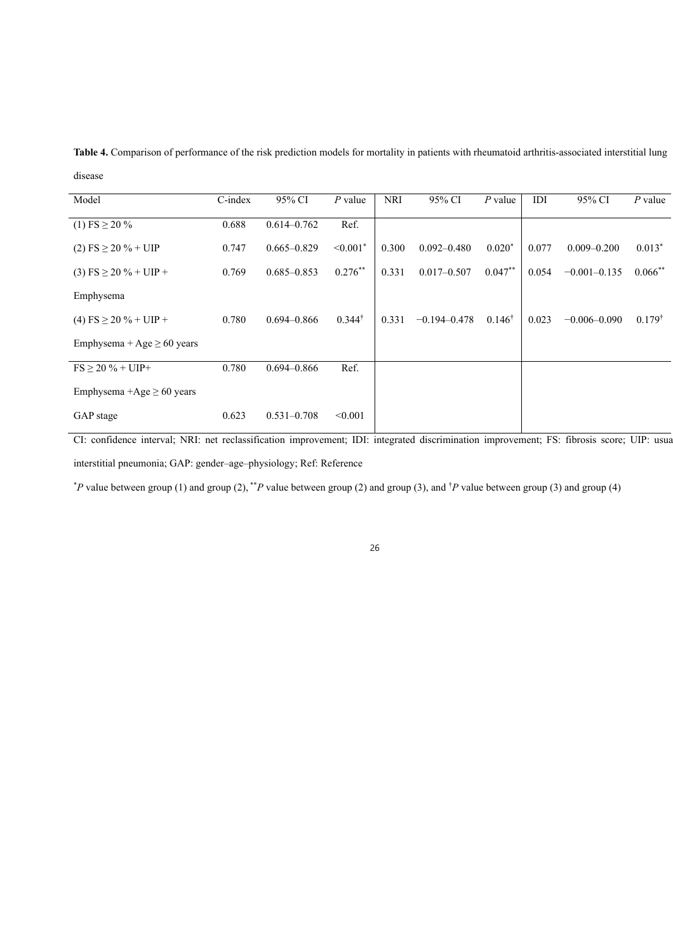| Model                           | $C$ -index | 95% CI          | $P$ value                 | <b>NRI</b> | 95% CI           | $P$ value         | IDI   | 95% CI           | $P$ value         |
|---------------------------------|------------|-----------------|---------------------------|------------|------------------|-------------------|-------|------------------|-------------------|
| $(1)$ FS $\geq$ 20 %            | 0.688      | $0.614 - 0.762$ | Ref.                      |            |                  |                   |       |                  |                   |
| $(2)$ FS $\geq$ 20 % + UIP      | 0.747      | $0.665 - 0.829$ | $\leq 0.001$ <sup>*</sup> | 0.300      | $0.092 - 0.480$  | $0.020*$          | 0.077 | $0.009 - 0.200$  | $0.013*$          |
| $(3)$ FS $\geq$ 20 % + UIP +    | 0.769      | $0.685 - 0.853$ | $0.276***$                | 0.331      | $0.017 - 0.507$  | $0.047**$         | 0.054 | $-0.001 - 0.135$ | $0.066***$        |
| Emphysema                       |            |                 |                           |            |                  |                   |       |                  |                   |
| $(4)$ FS $\geq$ 20 % + UIP +    | 0.780      | $0.694 - 0.866$ | $0.344^{\dagger}$         | 0.331      | $-0.194 - 0.478$ | $0.146^{\dagger}$ | 0.023 | $-0.006 - 0.090$ | $0.179^{\dagger}$ |
| Emphysema + Age $\geq 60$ years |            |                 |                           |            |                  |                   |       |                  |                   |
| $FS > 20 \% + UIP +$            | 0.780      | $0.694 - 0.866$ | Ref.                      |            |                  |                   |       |                  |                   |
| Emphysema +Age $\geq 60$ years  |            |                 |                           |            |                  |                   |       |                  |                   |
| GAP stage                       | 0.623      | $0.531 - 0.708$ | < 0.001                   |            |                  |                   |       |                  |                   |

**Table 4.** Comparison of performance of the risk prediction models for mortality in patients with rheumatoid arthritis-associated interstitial lung disease

CI: confidence interval; NRI: net reclassification improvement; IDI: integrated discrimination improvement; FS: fibrosis score; UIP: usual interstitial pneumonia; GAP: gender–age–physiology; Ref: Reference

\* *P* value between group (1) and group (2), \*\**P* value between group (2) and group (3), and † *P* value between group (3) and group (4)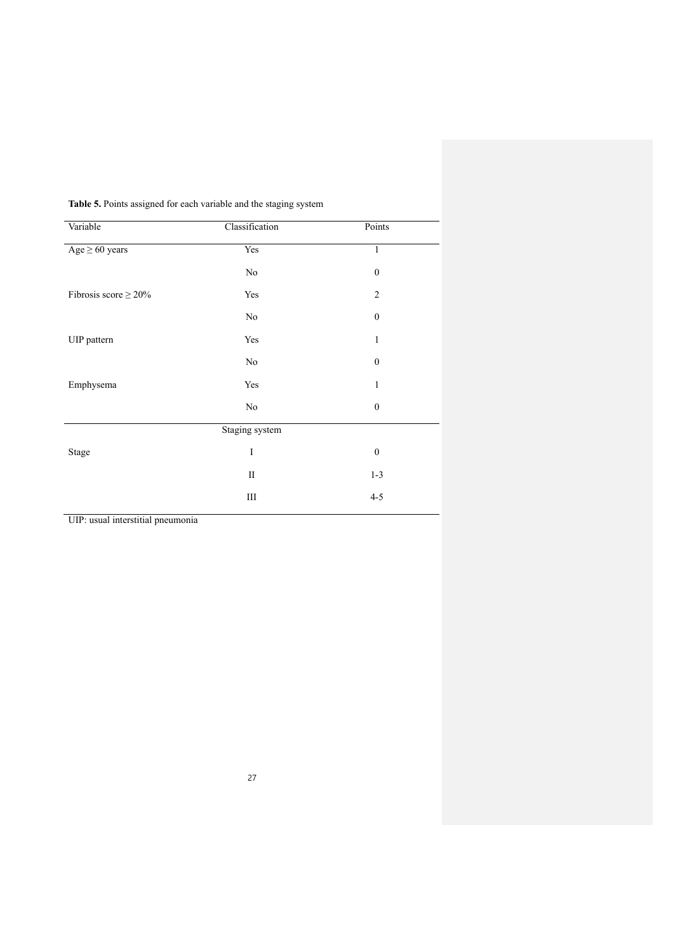| Variable                   | Classification | Points           |  |
|----------------------------|----------------|------------------|--|
| $Age \geq 60 years$        | Yes            | $\,1$            |  |
|                            | No             | $\boldsymbol{0}$ |  |
| Fibrosis score $\geq 20\%$ | Yes            | $\overline{2}$   |  |
|                            | No             | $\boldsymbol{0}$ |  |
| UIP pattern                | Yes            | $\mathbf{1}$     |  |
|                            | $\rm No$       | $\boldsymbol{0}$ |  |
| Emphysema                  | Yes            | 1                |  |
|                            | $\rm No$       | $\boldsymbol{0}$ |  |
|                            | Staging system |                  |  |
| Stage                      | $\bf I$        | $\boldsymbol{0}$ |  |
|                            | $\rm II$       | $1 - 3$          |  |
|                            | Ш              | $4 - 5$          |  |

**Table 5.** Points assigned for each variable and the staging system

UIP: usual interstitial pneumonia